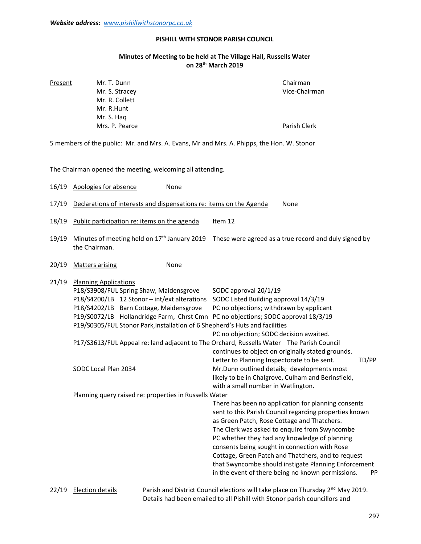## PISHILL WITH STONOR PARISH COUNCIL

## Minutes of Meeting to be held at The Village Hall, Russells Water on 28th March 2019

| Present | Mr. T. Dunn    | Chairman      |
|---------|----------------|---------------|
|         | Mr. S. Stracey | Vice-Chairman |
|         | Mr. R. Collett |               |
|         | Mr. R.Hunt     |               |
|         | Mr. S. Hag     |               |
|         | Mrs. P. Pearce | Parish Clerk  |
|         |                |               |

5 members of the public: Mr. and Mrs. A. Evans, Mr and Mrs. A. Phipps, the Hon. W. Stonor

The Chairman opened the meeting, welcoming all attending.

16/19 Apologies for absence None

- 17/19 Declarations of interests and dispensations re: items on the Agenda None
- 18/19 Public participation re: items on the agenda Item 12
- 19/19 Minutes of meeting held on  $17<sup>th</sup>$  January 2019 These were agreed as a true record and duly signed by the Chairman.
- 20/19 Matters arising None

| 21/19 | <b>Planning Applications</b>                           |                                                                             |                                                                                          |       |
|-------|--------------------------------------------------------|-----------------------------------------------------------------------------|------------------------------------------------------------------------------------------|-------|
|       |                                                        | P18/S3908/FUL Spring Shaw, Maidensgrove                                     | SODC approval 20/1/19                                                                    |       |
|       |                                                        | P18/S4200/LB 12 Stonor - int/ext alterations                                | SODC Listed Building approval 14/3/19                                                    |       |
|       |                                                        | P18/S4202/LB Barn Cottage, Maidensgrove                                     | PC no objections; withdrawn by applicant                                                 |       |
|       |                                                        | P19/S0072/LB Hollandridge Farm, Chrst Cmn                                   | PC no objections; SODC approval 18/3/19                                                  |       |
|       |                                                        | P19/S0305/FUL Stonor Park, Installation of 6 Shepherd's Huts and facilities |                                                                                          |       |
|       |                                                        |                                                                             | PC no objection; SODC decision awaited.                                                  |       |
|       |                                                        |                                                                             | P17/S3613/FUL Appeal re: land adjacent to The Orchard, Russells Water The Parish Council |       |
|       |                                                        |                                                                             | continues to object on originally stated grounds.                                        |       |
|       |                                                        |                                                                             | Letter to Planning Inspectorate to be sent.                                              | TD/PP |
|       | SODC Local Plan 2034                                   |                                                                             | Mr.Dunn outlined details; developments most                                              |       |
|       |                                                        |                                                                             | likely to be in Chalgrove, Culham and Berinsfield,                                       |       |
|       |                                                        |                                                                             | with a small number in Watlington.                                                       |       |
|       | Planning query raised re: properties in Russells Water |                                                                             |                                                                                          |       |
|       |                                                        |                                                                             | There has been no application for planning consents                                      |       |
|       |                                                        |                                                                             | sent to this Parish Council regarding properties known                                   |       |
|       |                                                        |                                                                             | as Green Patch, Rose Cottage and Thatchers.                                              |       |
|       |                                                        |                                                                             | The Clerk was asked to enquire from Swyncombe                                            |       |
|       |                                                        |                                                                             | PC whether they had any knowledge of planning                                            |       |
|       |                                                        |                                                                             | consents being sought in connection with Rose                                            |       |
|       |                                                        |                                                                             | Cottage, Green Patch and Thatchers, and to request                                       |       |
|       |                                                        |                                                                             | that Swyncombe should instigate Planning Enforcement                                     |       |
|       |                                                        |                                                                             | in the event of there being no known permissions.                                        | PP    |
|       | 22/10 - Election details                               |                                                                             | Barish and District Council elections will take place on Thursday 200 May 2010           |       |

22/19 Election details **Parish and District Council elections will take place on Thursday 2<sup>nd</sup> May 2019.** Details had been emailed to all Pishill with Stonor parish councillors and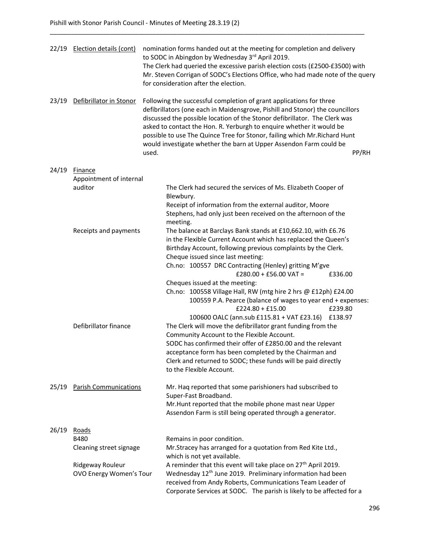| 22/19 | Election details (cont)                   | nomination forms handed out at the meeting for completion and delivery<br>to SODC in Abingdon by Wednesday 3rd April 2019.<br>The Clerk had queried the excessive parish election costs (£2500-£3500) with<br>Mr. Steven Corrigan of SODC's Elections Office, who had made note of the query<br>for consideration after the election.                                                                                                                                            |  |
|-------|-------------------------------------------|----------------------------------------------------------------------------------------------------------------------------------------------------------------------------------------------------------------------------------------------------------------------------------------------------------------------------------------------------------------------------------------------------------------------------------------------------------------------------------|--|
| 23/19 | Defibrillator in Stonor                   | Following the successful completion of grant applications for three<br>defibrillators (one each in Maidensgrove, Pishill and Stonor) the councillors<br>discussed the possible location of the Stonor defibrillator. The Clerk was<br>asked to contact the Hon. R. Yerburgh to enquire whether it would be<br>possible to use The Quince Tree for Stonor, failing which Mr. Richard Hunt<br>would investigate whether the barn at Upper Assendon Farm could be<br>PP/RH<br>used. |  |
| 24/19 | <b>Finance</b><br>Appointment of internal |                                                                                                                                                                                                                                                                                                                                                                                                                                                                                  |  |
|       | auditor                                   | The Clerk had secured the services of Ms. Elizabeth Cooper of                                                                                                                                                                                                                                                                                                                                                                                                                    |  |
|       |                                           | Blewbury.                                                                                                                                                                                                                                                                                                                                                                                                                                                                        |  |
|       |                                           | Receipt of information from the external auditor, Moore                                                                                                                                                                                                                                                                                                                                                                                                                          |  |
|       |                                           | Stephens, had only just been received on the afternoon of the                                                                                                                                                                                                                                                                                                                                                                                                                    |  |
|       |                                           | meeting.                                                                                                                                                                                                                                                                                                                                                                                                                                                                         |  |
|       | Receipts and payments                     | The balance at Barclays Bank stands at £10,662.10, with £6.76                                                                                                                                                                                                                                                                                                                                                                                                                    |  |
|       |                                           | in the Flexible Current Account which has replaced the Queen's                                                                                                                                                                                                                                                                                                                                                                                                                   |  |
|       |                                           | Birthday Account, following previous complaints by the Clerk.                                                                                                                                                                                                                                                                                                                                                                                                                    |  |
|       |                                           | Cheque issued since last meeting:                                                                                                                                                                                                                                                                                                                                                                                                                                                |  |
|       |                                           | Ch.no: 100557 DRC Contracting (Henley) gritting M'gve<br>$£280.00 + £56.00$ VAT =<br>£336.00                                                                                                                                                                                                                                                                                                                                                                                     |  |
|       |                                           | Cheques issued at the meeting:                                                                                                                                                                                                                                                                                                                                                                                                                                                   |  |
|       |                                           | Ch.no: 100558 Village Hall, RW (mtg hire 2 hrs @ £12ph) £24.00<br>100559 P.A. Pearce (balance of wages to year end + expenses:<br>£224.80 + £15.00<br>£239.80                                                                                                                                                                                                                                                                                                                    |  |
|       |                                           | 100600 OALC (ann.sub £115.81 + VAT £23.16)<br>£138.97                                                                                                                                                                                                                                                                                                                                                                                                                            |  |
|       | Defibrillator finance                     | The Clerk will move the defibrillator grant funding from the                                                                                                                                                                                                                                                                                                                                                                                                                     |  |
|       |                                           | Community Account to the Flexible Account.<br>SODC has confirmed their offer of £2850.00 and the relevant                                                                                                                                                                                                                                                                                                                                                                        |  |
|       |                                           | acceptance form has been completed by the Chairman and                                                                                                                                                                                                                                                                                                                                                                                                                           |  |
|       |                                           | Clerk and returned to SODC; these funds will be paid directly                                                                                                                                                                                                                                                                                                                                                                                                                    |  |
|       |                                           | to the Flexible Account.                                                                                                                                                                                                                                                                                                                                                                                                                                                         |  |
| 25/19 | <b>Parish Communications</b>              | Mr. Haq reported that some parishioners had subscribed to<br>Super-Fast Broadband.                                                                                                                                                                                                                                                                                                                                                                                               |  |
|       |                                           | Mr. Hunt reported that the mobile phone mast near Upper                                                                                                                                                                                                                                                                                                                                                                                                                          |  |
|       |                                           | Assendon Farm is still being operated through a generator.                                                                                                                                                                                                                                                                                                                                                                                                                       |  |
| 26/19 | Roads                                     |                                                                                                                                                                                                                                                                                                                                                                                                                                                                                  |  |
|       | <b>B480</b>                               | Remains in poor condition.                                                                                                                                                                                                                                                                                                                                                                                                                                                       |  |
|       | Cleaning street signage                   | Mr.Stracey has arranged for a quotation from Red Kite Ltd.,<br>which is not yet available.                                                                                                                                                                                                                                                                                                                                                                                       |  |
|       | Ridgeway Rouleur                          | A reminder that this event will take place on 27 <sup>th</sup> April 2019.                                                                                                                                                                                                                                                                                                                                                                                                       |  |
|       | OVO Energy Women's Tour                   | Wednesday 12 <sup>th</sup> June 2019. Preliminary information had been                                                                                                                                                                                                                                                                                                                                                                                                           |  |
|       |                                           | received from Andy Roberts, Communications Team Leader of<br>Corporate Services at SODC. The parish is likely to be affected for a                                                                                                                                                                                                                                                                                                                                               |  |

\_\_\_\_\_\_\_\_\_\_\_\_\_\_\_\_\_\_\_\_\_\_\_\_\_\_\_\_\_\_\_\_\_\_\_\_\_\_\_\_\_\_\_\_\_\_\_\_\_\_\_\_\_\_\_\_\_\_\_\_\_\_\_\_\_\_\_\_\_\_\_\_\_\_\_\_\_\_\_\_\_\_\_\_\_\_\_\_\_